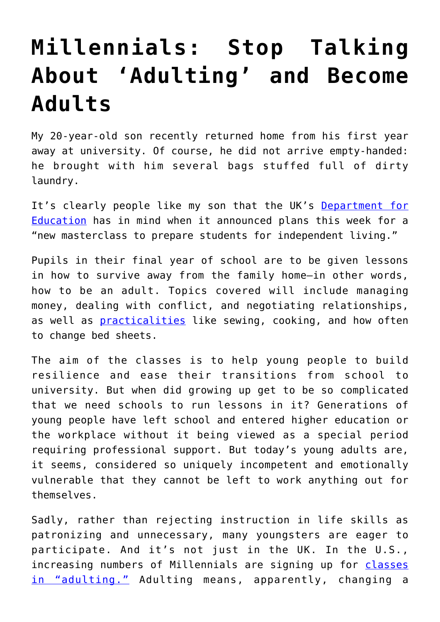## **[Millennials: Stop Talking](https://intellectualtakeout.org/2019/07/millennials-stop-talking-about-adulting-and-become-adults/) [About 'Adulting' and Become](https://intellectualtakeout.org/2019/07/millennials-stop-talking-about-adulting-and-become-adults/) [Adults](https://intellectualtakeout.org/2019/07/millennials-stop-talking-about-adulting-and-become-adults/)**

My 20-year-old son recently returned home from his first year away at university. Of course, he did not arrive empty-handed: he brought with him several bags stuffed full of dirty laundry.

It's clearly people like my son that the UK's [Department for](https://www.gov.uk/government/news/new-masterclass-to-prepare-students-for-independent-living) [Education](https://www.gov.uk/government/news/new-masterclass-to-prepare-students-for-independent-living) has in mind when it announced plans this week for a "new masterclass to prepare students for independent living."

Pupils in their final year of school are to be given lessons in how to survive away from the family home—in other words, how to be an adult. Topics covered will include managing money, dealing with conflict, and negotiating relationships, as well as [practicalities](https://www.cbsnews.com/news/adulting-classes-teach-millennials-basic-skills-like-sewing-cooking-and-how-to-deal-with-relationships/) like sewing, cooking, and how often to change bed sheets.

The aim of the classes is to help young people to build resilience and ease their transitions from school to university. But when did growing up get to be so complicated that we need schools to run lessons in it? Generations of young people have left school and entered higher education or the workplace without it being viewed as a special period requiring professional support. But today's young adults are, it seems, considered so uniquely incompetent and emotionally vulnerable that they cannot be left to work anything out for themselves.

Sadly, rather than rejecting instruction in life skills as patronizing and unnecessary, many youngsters are eager to participate. And it's not just in the UK. In the U.S., increasing numbers of Millennials are signing up for [classes](https://www.cbsnews.com/news/adulting-classes-teach-millennials-basic-skills-like-sewing-cooking-and-how-to-deal-with-relationships/) [in "adulting."](https://www.cbsnews.com/news/adulting-classes-teach-millennials-basic-skills-like-sewing-cooking-and-how-to-deal-with-relationships/) Adulting means, apparently, changing a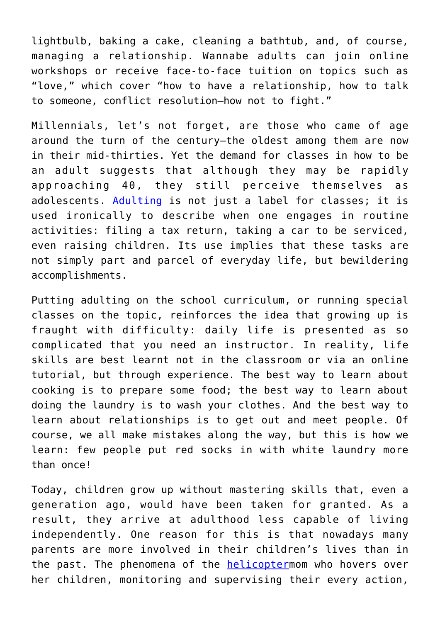lightbulb, baking a cake, cleaning a bathtub, and, of course, managing a relationship. Wannabe adults can join online workshops or receive face-to-face tuition on topics such as "love," which cover "how to have a relationship, how to talk to someone, conflict resolution—how not to fight."

Millennials, let's not forget, are those who came of age around the turn of the century—the oldest among them are now in their mid-thirties. Yet the demand for classes in how to be an adult suggests that although they may be rapidly approaching 40, they still perceive themselves as adolescents. [Adulting](https://www.urbandictionary.com/define.php?term=Adulting) is not just a label for classes; it is used ironically to describe when one engages in routine activities: filing a tax return, taking a car to be serviced, even raising children. Its use implies that these tasks are not simply part and parcel of everyday life, but bewildering accomplishments.

Putting adulting on the school curriculum, or running special classes on the topic, reinforces the idea that growing up is fraught with difficulty: daily life is presented as so complicated that you need an instructor. In reality, life skills are best learnt not in the classroom or via an online tutorial, but through experience. The best way to learn about cooking is to prepare some food; the best way to learn about doing the laundry is to wash your clothes. And the best way to learn about relationships is to get out and meet people. Of course, we all make mistakes along the way, but this is how we learn: few people put red socks in with white laundry more than once!

Today, children grow up without mastering skills that, even a generation ago, would have been taken for granted. As a result, they arrive at adulthood less capable of living independently. One reason for this is that nowadays many parents are more involved in their children's lives than in the past. The phenomena of the **[helicopter](https://www.huffingtonpost.co.uk/entry/5-ways-to-tell-you-were-raised-by-helicopter-parents_n_5609de6ee4b0dd850308e260?guccounter=1&guce_referrer=aHR0cHM6Ly9jb25zZW50LnlhaG9vLmNvbS8&guce_referrer_sig=AQAAALUla2LUDc7uNOlpQ2Vg67xHyIvQl-OqqZUTij216C6M9h9Y7-IRgPCl2y66N-DInOf14aCni000TzBRpad9y9QsBJgDyvB6sGZCTD2pDeKE_BW14CfpIr4hTos25vqFMG90sgTaqpXjOCWK8r5JddzMF2K78MXfhhlYTO0t0Jna)mom** who hovers over her children, monitoring and supervising their every action,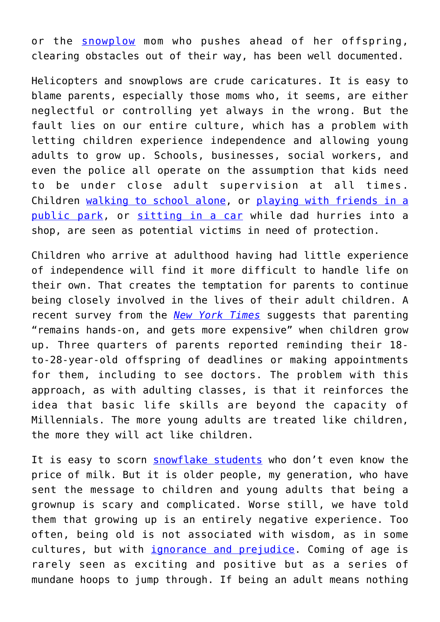or the [snowplow](https://www.independent.co.uk/news/health/snowplough-parenting-helicopter-felicity-huffman-lori-loughlin-college-admissions-scam-a8828631.html) mom who pushes ahead of her offspring, clearing obstacles out of their way, has been well documented.

Helicopters and snowplows are crude caricatures. It is easy to blame parents, especially those moms who, it seems, are either neglectful or controlling yet always in the wrong. But the fault lies on our entire culture, which has a problem with letting children experience independence and allowing young adults to grow up. Schools, businesses, social workers, and even the police all operate on the assumption that kids need to be under close adult supervision at all times. Children [walking to school alone,](https://www.thesun.co.uk/news/5346516/school-headteacher-threatens-ban-kids-unless-dropped-off-school-gates/) or [playing with friends in a](https://patch.com/maryland/bethesda-chevychase/police-take-children-allowed-play-alone-park) [public park,](https://patch.com/maryland/bethesda-chevychase/police-take-children-allowed-play-alone-park) or [sitting in a car](https://www.scarymommy.com/arrest-for-leaving-baby-car/) while dad hurries into a shop, are seen as potential victims in need of protection.

Children who arrive at adulthood having had little experience of independence will find it more difficult to handle life on their own. That creates the temptation for parents to continue being closely involved in the lives of their adult children. A recent survey from the *[New York Times](https://www.nytimes.com/2019/03/13/upshot/parenting-new-norms-grown-children-extremes.html?module=inline)* suggests that parenting "remains hands-on, and gets more expensive" when children grow up. Three quarters of parents reported reminding their 18 to-28-year-old offspring of deadlines or making appointments for them, including to see doctors. The problem with this approach, as with adulting classes, is that it reinforces the idea that basic life skills are beyond the capacity of Millennials. The more young adults are treated like children, the more they will act like children.

It is easy to scorn [snowflake students](https://www.dailymail.co.uk/news/article-7230915/Students-given-lessons-buying-groceries-washing-bedsheets.html) who don't even know the price of milk. But it is older people, my generation, who have sent the message to children and young adults that being a grownup is scary and complicated. Worse still, we have told them that growing up is an entirely negative experience. Too often, being old is not associated with wisdom, as in some cultures, but with *ignorance and prejudice*. Coming of age is rarely seen as exciting and positive but as a series of mundane hoops to jump through. If being an adult means nothing